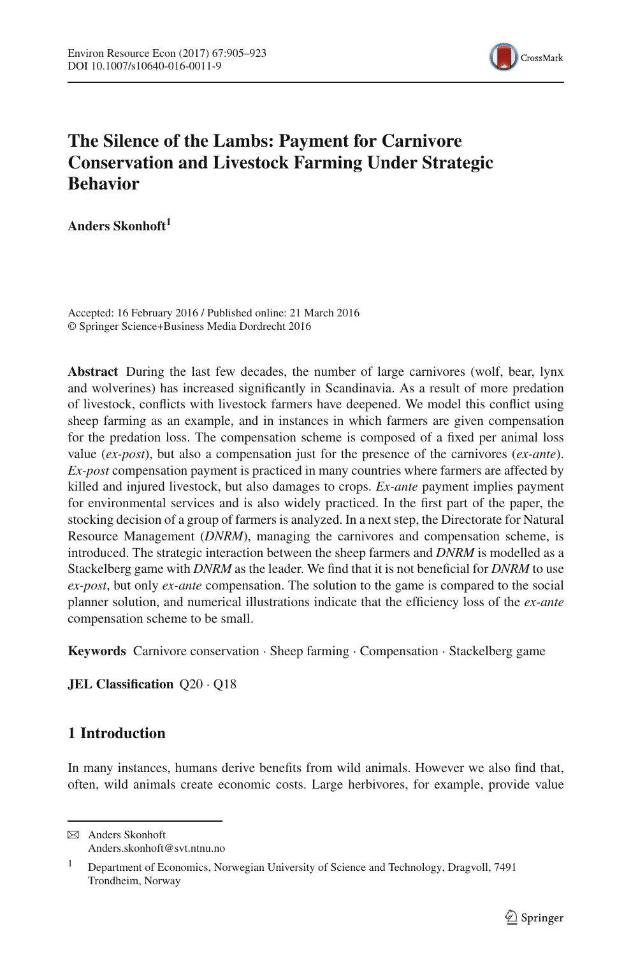

# **The Silence of the Lambs: Payment for Carnivore Conservation and Livestock Farming Under Strategic Behavior**

**Anders Skonhoft<sup>1</sup>**

Accepted: 16 February 2016 / Published online: 21 March 2016 © Springer Science+Business Media Dordrecht 2016

**Abstract** During the last few decades, the number of large carnivores (wolf, bear, lynx and wolverines) has increased significantly in Scandinavia. As a result of more predation of livestock, conflicts with livestock farmers have deepened. We model this conflict using sheep farming as an example, and in instances in which farmers are given compensation for the predation loss. The compensation scheme is composed of a fixed per animal loss value (*ex-post*), but also a compensation just for the presence of the carnivores (*ex-ante*). *Ex-post* compensation payment is practiced in many countries where farmers are affected by killed and injured livestock, but also damages to crops. *Ex-ante* payment implies payment for environmental services and is also widely practiced. In the first part of the paper, the stocking decision of a group of farmers is analyzed. In a next step, the Directorate for Natural Resource Management (*DNRM*), managing the carnivores and compensation scheme, is introduced. The strategic interaction between the sheep farmers and *DNRM* is modelled as a Stackelberg game with *DNRM* as the leader. We find that it is not beneficial for *DNRM* to use *ex-post*, but only *ex-ante* compensation. The solution to the game is compared to the social planner solution, and numerical illustrations indicate that the efficiency loss of the *ex-ante* compensation scheme to be small.

**Keywords** Carnivore conservation · Sheep farming · Compensation · Stackelberg game

**JEL Classification** Q20 · Q18

# <span id="page-0-0"></span>**1 Introduction**

In many instances, humans derive benefits from wild animals. However we also find that, often, wild animals create economic costs. Large herbivores, for example, provide value

B Anders Skonhoft Anders.skonhoft@svt.ntnu.no

<sup>1</sup> Department of Economics, Norwegian University of Science and Technology, Dragvoll, 7491 Trondheim, Norway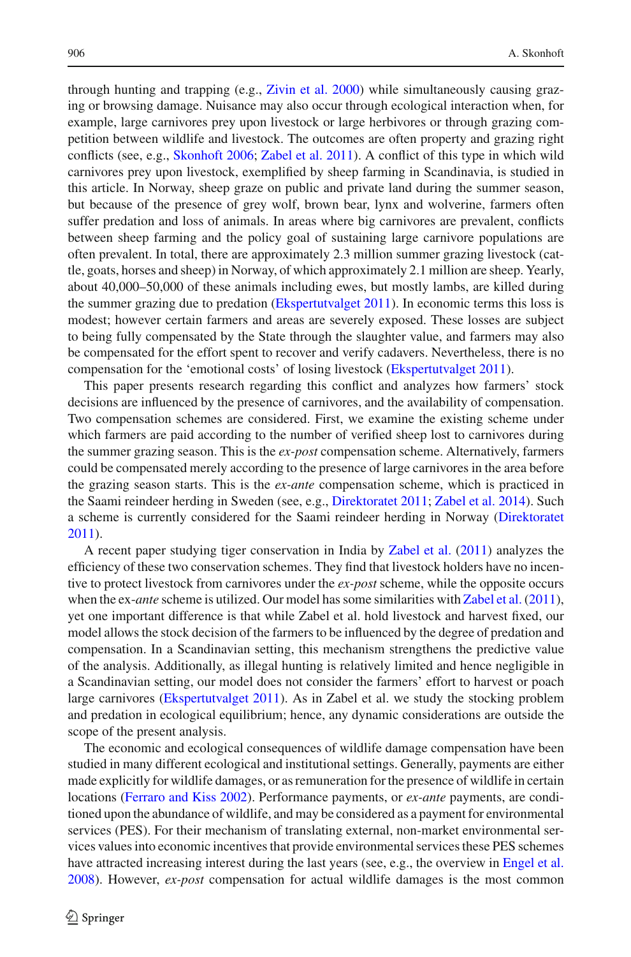through hunting and trapping (e.g., [Zivin et al. 2000\)](#page-18-0) while simultaneously causing grazing or browsing damage. Nuisance may also occur through ecological interaction when, for example, large carnivores prey upon livestock or large herbivores or through grazing competition between wildlife and livestock. The outcomes are often property and grazing right conflicts (see, e.g., [Skonhoft 2006;](#page-18-1) [Zabel et al. 2011](#page-18-2)). A conflict of this type in which wild carnivores prey upon livestock, exemplified by sheep farming in Scandinavia, is studied in this article. In Norway, sheep graze on public and private land during the summer season, but because of the presence of grey wolf, brown bear, lynx and wolverine, farmers often suffer predation and loss of animals. In areas where big carnivores are prevalent, conflicts between sheep farming and the policy goal of sustaining large carnivore populations are often prevalent. In total, there are approximately 2.3 million summer grazing livestock (cattle, goats, horses and sheep) in Norway, of which approximately 2.1 million are sheep. Yearly, about 40,000–50,000 of these animals including ewes, but mostly lambs, are killed during the summer grazing due to predation [\(Ekspertutvalget 2011\)](#page-17-0). In economic terms this loss is modest; however certain farmers and areas are severely exposed. These losses are subject to being fully compensated by the State through the slaughter value, and farmers may also be compensated for the effort spent to recover and verify cadavers. Nevertheless, there is no compensation for the 'emotional costs' of losing livestock [\(Ekspertutvalget 2011\)](#page-17-0).

This paper presents research regarding this conflict and analyzes how farmers' stock decisions are influenced by the presence of carnivores, and the availability of compensation. Two compensation schemes are considered. First, we examine the existing scheme under which farmers are paid according to the number of verified sheep lost to carnivores during the summer grazing season. This is the *ex-post* compensation scheme. Alternatively, farmers could be compensated merely according to the presence of large carnivores in the area before the grazing season starts. This is the *ex-ante* compensation scheme, which is practiced in the Saami reindeer herding in Sweden (see, e.g., [Direktoratet 2011](#page-17-1); [Zabel et al. 2014](#page-18-3)). Such a scheme is currently considered for the Saami reindeer herding in Norway [\(Direktoratet](#page-17-1) [2011](#page-17-1)).

A recent paper studying tiger conservation in India by [Zabel et al.](#page-18-2) [\(2011\)](#page-18-2) analyzes the efficiency of these two conservation schemes. They find that livestock holders have no incentive to protect livestock from carnivores under the *ex-post* scheme, while the opposite occurs when the ex-*ante* scheme is utilized. Our model has some similarities with [Zabel et al.](#page-18-2) [\(2011\)](#page-18-2), yet one important difference is that while Zabel et al. hold livestock and harvest fixed, our model allows the stock decision of the farmers to be influenced by the degree of predation and compensation. In a Scandinavian setting, this mechanism strengthens the predictive value of the analysis. Additionally, as illegal hunting is relatively limited and hence negligible in a Scandinavian setting, our model does not consider the farmers' effort to harvest or poach large carnivores [\(Ekspertutvalget 2011](#page-17-0)). As in Zabel et al. we study the stocking problem and predation in ecological equilibrium; hence, any dynamic considerations are outside the scope of the present analysis.

The economic and ecological consequences of wildlife damage compensation have been studied in many different ecological and institutional settings. Generally, payments are either made explicitly for wildlife damages, or as remuneration for the presence of wildlife in certain locations [\(Ferraro and Kiss 2002](#page-18-4)). Performance payments, or *ex-ante* payments, are conditioned upon the abundance of wildlife, and may be considered as a payment for environmental services (PES). For their mechanism of translating external, non-market environmental services values into economic incentives that provide environmental services these PES schemes have attracted increasing interest during the last years (see, e.g., the overview in [Engel et al.](#page-18-5) [2008](#page-18-5)). However, *ex-post* compensation for actual wildlife damages is the most common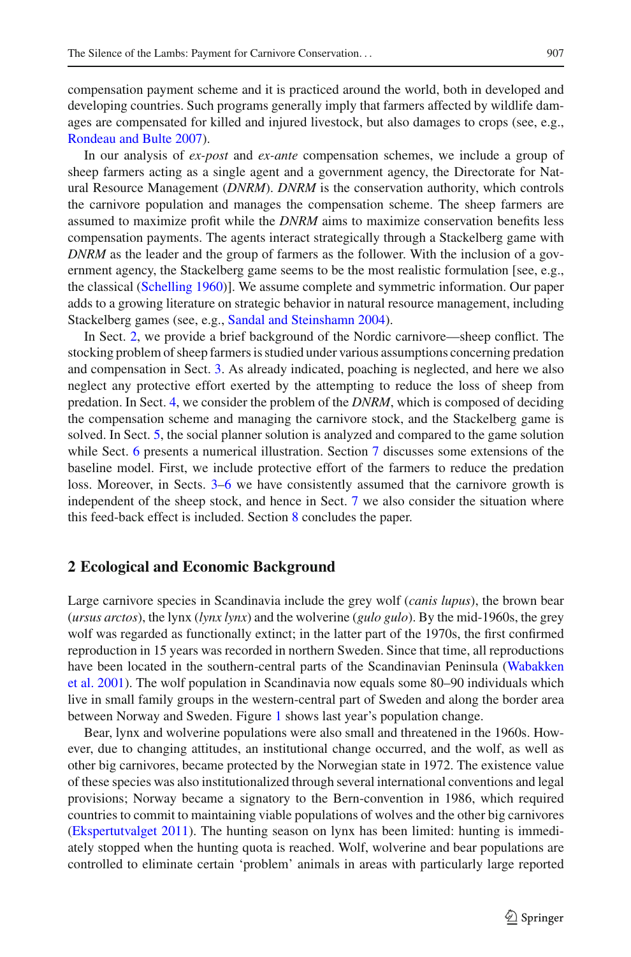compensation payment scheme and it is practiced around the world, both in developed and developing countries. Such programs generally imply that farmers affected by wildlife damages are compensated for killed and injured livestock, but also damages to crops (see, e.g., [Rondeau and Bulte 2007](#page-18-6)).

In our analysis of *ex-post* and *ex-ante* compensation schemes, we include a group of sheep farmers acting as a single agent and a government agency, the Directorate for Natural Resource Management (*DNRM*). *DNRM* is the conservation authority, which controls the carnivore population and manages the compensation scheme. The sheep farmers are assumed to maximize profit while the *DNRM* aims to maximize conservation benefits less compensation payments. The agents interact strategically through a Stackelberg game with *DNRM* as the leader and the group of farmers as the follower. With the inclusion of a government agency, the Stackelberg game seems to be the most realistic formulation [see, e.g., the classical [\(Schelling 1960](#page-18-7))]. We assume complete and symmetric information. Our paper adds to a growing literature on strategic behavior in natural resource management, including Stackelberg games (see, e.g., [Sandal and Steinshamn 2004](#page-18-8)).

In Sect. [2,](#page-2-0) we provide a brief background of the Nordic carnivore—sheep conflict. The stocking problem of sheep farmers is studied under various assumptions concerning predation and compensation in Sect. [3.](#page-5-0) As already indicated, poaching is neglected, and here we also neglect any protective effort exerted by the attempting to reduce the loss of sheep from predation. In Sect. [4,](#page-8-0) we consider the problem of the *DNRM*, which is composed of deciding the compensation scheme and managing the carnivore stock, and the Stackelberg game is solved. In Sect. [5,](#page-10-0) the social planner solution is analyzed and compared to the game solution while Sect. [6](#page-12-0) presents a numerical illustration. Section [7](#page-14-0) discusses some extensions of the baseline model. First, we include protective effort of the farmers to reduce the predation loss. Moreover, in Sects. [3](#page-5-0)[–6](#page-12-0) we have consistently assumed that the carnivore growth is independent of the sheep stock, and hence in Sect. [7](#page-14-0) we also consider the situation where this feed-back effect is included. Section [8](#page-16-0) concludes the paper.

#### <span id="page-2-0"></span>**2 Ecological and Economic Background**

Large carnivore species in Scandinavia include the grey wolf (*canis lupus*), the brown bear (*ursus arctos*), the lynx (*lynx lynx*) and the wolverine (*gulo gulo*). By the mid-1960s, the grey wolf was regarded as functionally extinct; in the latter part of the 1970s, the first confirmed reproduction in 15 years was recorded in northern Sweden. Since that time, all reproductions have [been](#page-18-9) [located](#page-18-9) [in](#page-18-9) [the](#page-18-9) [southern-central](#page-18-9) [parts](#page-18-9) [of](#page-18-9) [the](#page-18-9) [Scandinavian](#page-18-9) [Peninsula](#page-18-9) [\(](#page-18-9)Wabakken et al. [2001\)](#page-18-9). The wolf population in Scandinavia now equals some 80–90 individuals which live in small family groups in the western-central part of Sweden and along the border area between Norway and Sweden. Figure [1](#page-3-0) shows last year's population change.

Bear, lynx and wolverine populations were also small and threatened in the 1960s. However, due to changing attitudes, an institutional change occurred, and the wolf, as well as other big carnivores, became protected by the Norwegian state in 1972. The existence value of these species was also institutionalized through several international conventions and legal provisions; Norway became a signatory to the Bern-convention in 1986, which required countries to commit to maintaining viable populations of wolves and the other big carnivores [\(Ekspertutvalget 2011\)](#page-17-0). The hunting season on lynx has been limited: hunting is immediately stopped when the hunting quota is reached. Wolf, wolverine and bear populations are controlled to eliminate certain 'problem' animals in areas with particularly large reported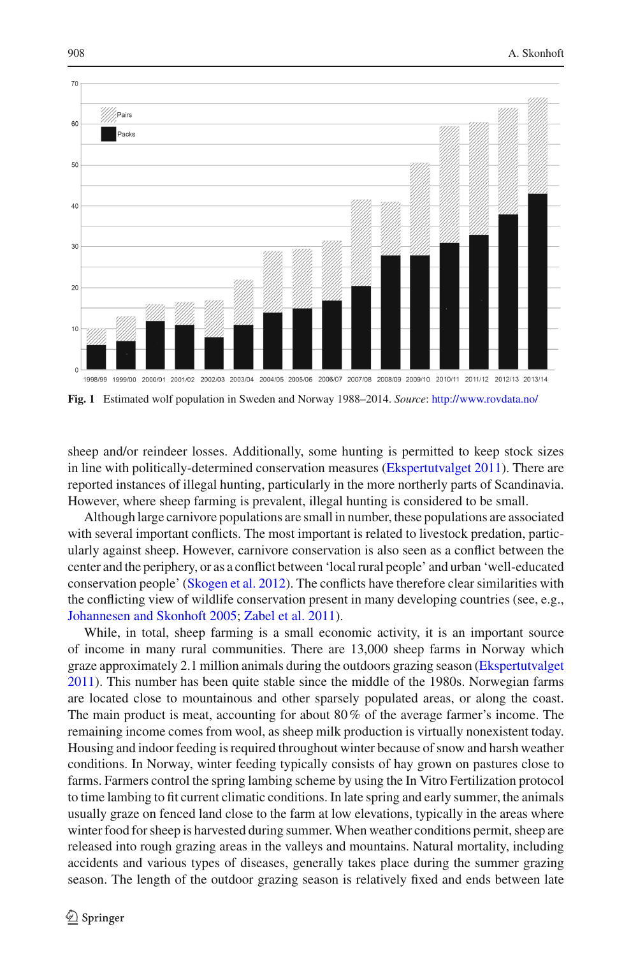

<span id="page-3-0"></span>**Fig. 1** Estimated wolf population in Sweden and Norway 1988–2014. *Source*: <http://www.rovdata.no/>

sheep and/or reindeer losses. Additionally, some hunting is permitted to keep stock sizes in line with politically-determined conservation measures [\(Ekspertutvalget 2011\)](#page-17-0). There are reported instances of illegal hunting, particularly in the more northerly parts of Scandinavia. However, where sheep farming is prevalent, illegal hunting is considered to be small.

Although large carnivore populations are small in number, these populations are associated with several important conflicts. The most important is related to livestock predation, particularly against sheep. However, carnivore conservation is also seen as a conflict between the center and the periphery, or as a conflict between 'local rural people' and urban 'well-educated conservation people' [\(Skogen et al. 2012](#page-18-10)). The conflicts have therefore clear similarities with the conflicting view of wildlife conservation present in many developing countries (see, e.g., [Johannesen and Skonhoft 2005](#page-18-11); [Zabel et al. 2011\)](#page-18-2).

While, in total, sheep farming is a small economic activity, it is an important source of income in many rural communities. There are 13,000 sheep farms in Norway which graze approximately 2.1 million animals during the outdoors grazing season [\(Ekspertutvalget](#page-17-0) [2011](#page-17-0)). This number has been quite stable since the middle of the 1980s. Norwegian farms are located close to mountainous and other sparsely populated areas, or along the coast. The main product is meat, accounting for about  $80\%$  of the average farmer's income. The remaining income comes from wool, as sheep milk production is virtually nonexistent today. Housing and indoor feeding is required throughout winter because of snow and harsh weather conditions. In Norway, winter feeding typically consists of hay grown on pastures close to farms. Farmers control the spring lambing scheme by using the In Vitro Fertilization protocol to time lambing to fit current climatic conditions. In late spring and early summer, the animals usually graze on fenced land close to the farm at low elevations, typically in the areas where winter food for sheep is harvested during summer. When weather conditions permit, sheep are released into rough grazing areas in the valleys and mountains. Natural mortality, including accidents and various types of diseases, generally takes place during the summer grazing season. The length of the outdoor grazing season is relatively fixed and ends between late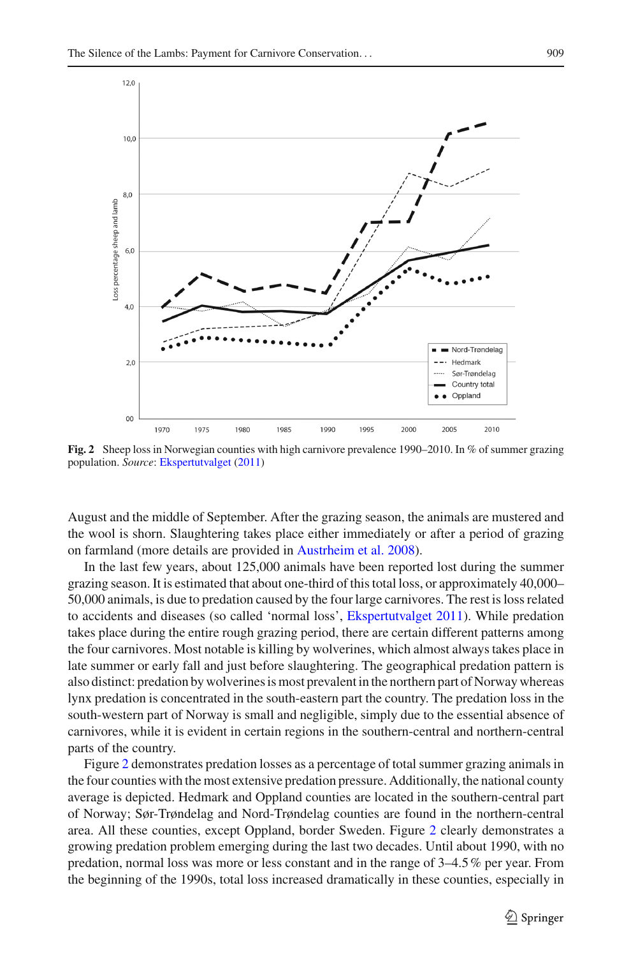

<span id="page-4-0"></span>**Fig. 2** Sheep loss in Norwegian counties with high carnivore prevalence 1990–2010. In % of summer grazing population. *Source*: [Ekspertutvalget](#page-17-0) [\(2011\)](#page-17-0)

August and the middle of September. After the grazing season, the animals are mustered and the wool is shorn. Slaughtering takes place either immediately or after a period of grazing on farmland (more details are provided in [Austrheim et al. 2008](#page-17-2)).

In the last few years, about 125,000 animals have been reported lost during the summer grazing season. It is estimated that about one-third of this total loss, or approximately 40,000– 50,000 animals, is due to predation caused by the four large carnivores. The rest is loss related to accidents and diseases (so called 'normal loss', [Ekspertutvalget 2011\)](#page-17-0). While predation takes place during the entire rough grazing period, there are certain different patterns among the four carnivores. Most notable is killing by wolverines, which almost always takes place in late summer or early fall and just before slaughtering. The geographical predation pattern is also distinct: predation by wolverines is most prevalent in the northern part of Norway whereas lynx predation is concentrated in the south-eastern part the country. The predation loss in the south-western part of Norway is small and negligible, simply due to the essential absence of carnivores, while it is evident in certain regions in the southern-central and northern-central parts of the country.

Figure [2](#page-4-0) demonstrates predation losses as a percentage of total summer grazing animals in the four counties with the most extensive predation pressure. Additionally, the national county average is depicted. Hedmark and Oppland counties are located in the southern-central part of Norway; Sør-Trøndelag and Nord-Trøndelag counties are found in the northern-central area. All these counties, except Oppland, border Sweden. Figure [2](#page-4-0) clearly demonstrates a growing predation problem emerging during the last two decades. Until about 1990, with no predation, normal loss was more or less constant and in the range of 3–4.5% per year. From the beginning of the 1990s, total loss increased dramatically in these counties, especially in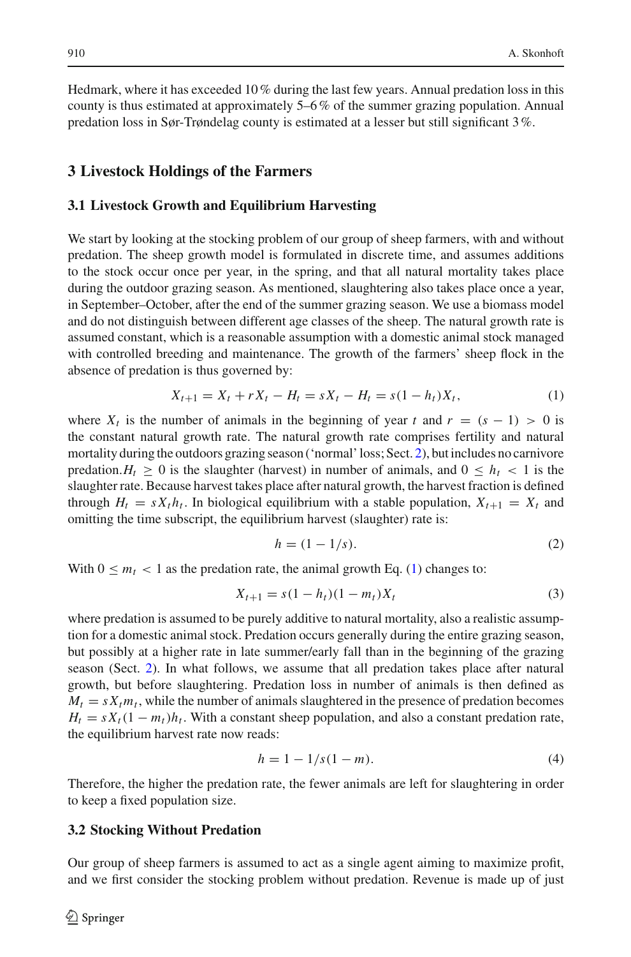Hedmark, where it has exceeded 10% during the last few years. Annual predation loss in this county is thus estimated at approximately 5–6% of the summer grazing population. Annual predation loss in Sør-Trøndelag county is estimated at a lesser but still significant 3%.

# <span id="page-5-0"></span>**3 Livestock Holdings of the Farmers**

### **3.1 Livestock Growth and Equilibrium Harvesting**

We start by looking at the stocking problem of our group of sheep farmers, with and without predation. The sheep growth model is formulated in discrete time, and assumes additions to the stock occur once per year, in the spring, and that all natural mortality takes place during the outdoor grazing season. As mentioned, slaughtering also takes place once a year, in September–October, after the end of the summer grazing season. We use a biomass model and do not distinguish between different age classes of the sheep. The natural growth rate is assumed constant, which is a reasonable assumption with a domestic animal stock managed with controlled breeding and maintenance. The growth of the farmers' sheep flock in the absence of predation is thus governed by:

$$
X_{t+1} = X_t + rX_t - H_t = sX_t - H_t = s(1 - h_t)X_t,
$$
\n(1)

<span id="page-5-1"></span>where  $X_t$  is the number of animals in the beginning of year *t* and  $r = (s - 1) > 0$  is the constant natural growth rate. The natural growth rate comprises fertility and natural mortality during the outdoors grazing season ('normal' loss; Sect. [2\)](#page-2-0), but includes no carnivore predation.  $H_t \geq 0$  is the slaughter (harvest) in number of animals, and  $0 \leq h_t < 1$  is the slaughter rate. Because harvest takes place after natural growth, the harvest fraction is defined through  $H_t = sX_t h_t$ . In biological equilibrium with a stable population,  $X_{t+1} = X_t$  and omitting the time subscript, the equilibrium harvest (slaughter) rate is:

$$
h = (1 - 1/s).
$$
 (2)

With  $0 \leq m_t < 1$  as the predation rate, the animal growth Eq. [\(1\)](#page-5-1) changes to:

<span id="page-5-2"></span>
$$
X_{t+1} = s(1 - h_t)(1 - m_t)X_t
$$
\n(3)

where predation is assumed to be purely additive to natural mortality, also a realistic assumption for a domestic animal stock. Predation occurs generally during the entire grazing season, but possibly at a higher rate in late summer/early fall than in the beginning of the grazing season (Sect. [2\)](#page-2-0). In what follows, we assume that all predation takes place after natural growth, but before slaughtering. Predation loss in number of animals is then defined as  $M_t = sX_t m_t$ , while the number of animals slaughtered in the presence of predation becomes  $H_t = sX_t(1 - m_t)h_t$ . With a constant sheep population, and also a constant predation rate, the equilibrium harvest rate now reads:

$$
h = 1 - 1/s(1 - m). \tag{4}
$$

<span id="page-5-3"></span>Therefore, the higher the predation rate, the fewer animals are left for slaughtering in order to keep a fixed population size.

### **3.2 Stocking Without Predation**

Our group of sheep farmers is assumed to act as a single agent aiming to maximize profit, and we first consider the stocking problem without predation. Revenue is made up of just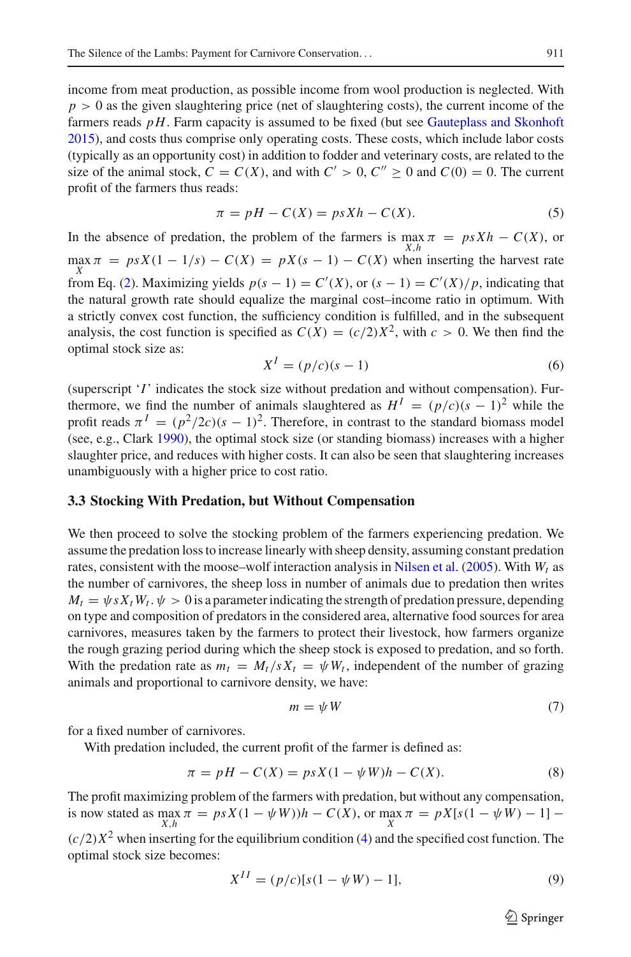income from meat production, as possible income from wool production is neglected. With  $p > 0$  as the given slaughtering price (net of slaughtering costs), the current income of the farmers reads *pH*. Farm capacity is assumed to be fixed (but see [Gauteplass and Skonhoft](#page-18-12) [2015](#page-18-12)), and costs thus comprise only operating costs. These costs, which include labor costs (typically as an opportunity cost) in addition to fodder and veterinary costs, are related to the size of the animal stock,  $C = C(X)$ , and with  $C' > 0$ ,  $C'' > 0$  and  $C(0) = 0$ . The current profit of the farmers thus reads:

$$
\pi = pH - C(X) = psXh - C(X). \tag{5}
$$

In the absence of predation, the problem of the farmers is  $\max_{X,h} \pi = psXh - C(X)$ , or  $\max_{X} \pi = p s X (1 - 1/s) - C(X) = p X (s - 1) - C(X)$  when inserting the harvest rate from Eq. [\(2\)](#page-5-2). Maximizing yields  $p(s - 1) = C'(X)$ , or  $(s - 1) = C'(X)/p$ , indicating that the natural growth rate should equalize the marginal cost–income ratio in optimum. With a strictly convex cost function, the sufficiency condition is fulfilled, and in the subsequent analysis, the cost function is specified as  $C(X) = (c/2)X^2$ , with  $c > 0$ . We then find the optimal stock size as:

$$
X^I = (p/c)(s-1) \tag{6}
$$

(superscript '*I*' indicates the stock size without predation and without compensation). Furthermore, we find the number of animals slaughtered as  $H^I = (p/c)(s - 1)^2$  while the profit reads  $\pi^{I} = (p^{2}/2c)(s-1)^{2}$ . Therefore, in contrast to the standard biomass model (see, e.g., Clark [1990](#page-17-3)), the optimal stock size (or standing biomass) increases with a higher slaughter price, and reduces with higher costs. It can also be seen that slaughtering increases unambiguously with a higher price to cost ratio.

#### <span id="page-6-0"></span>**3.3 Stocking With Predation, but Without Compensation**

We then proceed to solve the stocking problem of the farmers experiencing predation. We assume the predation loss to increase linearly with sheep density, assuming constant predation rates, consistent with the moose–wolf interaction analysis in [Nilsen et al.](#page-18-13)  $(2005)$ . With  $W_t$  as the number of carnivores, the sheep loss in number of animals due to predation then writes  $M_t = \psi s X_t W_t$ ,  $\psi > 0$  is a parameter indicating the strength of predation pressure, depending on type and composition of predators in the considered area, alternative food sources for area carnivores, measures taken by the farmers to protect their livestock, how farmers organize the rough grazing period during which the sheep stock is exposed to predation, and so forth. With the predation rate as  $m_t = M_t/sX_t = \psi W_t$ , independent of the number of grazing animals and proportional to carnivore density, we have:

$$
m = \psi W \tag{7}
$$

for a fixed number of carnivores.

With predation included, the current profit of the farmer is defined as:

$$
\pi = pH - C(X) = psX(1 - \psi W)h - C(X).
$$
 (8)

<span id="page-6-1"></span>The profit maximizing problem of the farmers with predation, but without any compensation, is now stated as  $\max_{X,h} \pi = psX(1 - \psi W))h - C(X)$ , or  $\max_{X} \pi = pX[s(1 - \psi W) - 1] (c/2)X<sup>2</sup>$  when inserting for the equilibrium condition [\(4\)](#page-5-3) and the specified cost function. The optimal stock size becomes:

$$
X^{II} = (p/c)[s(1 - \psi W) - 1],
$$
\n(9)

 $\mathcal{L}$  Springer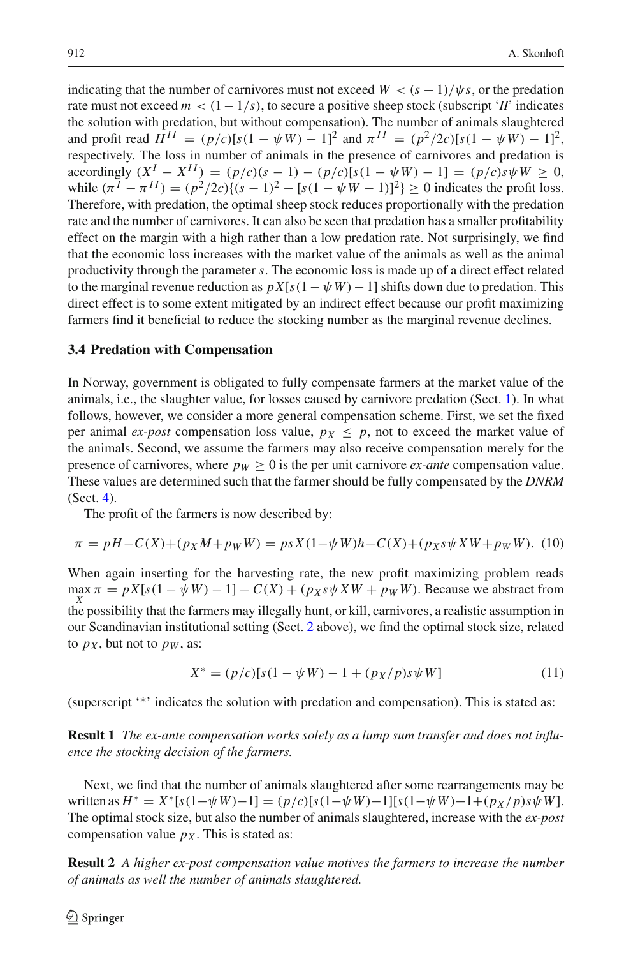indicating that the number of carnivores must not exceed  $W < (s - 1)/\psi s$ , or the predation rate must not exceed  $m < (1 - 1/s)$ , to secure a positive sheep stock (subscript '*II*' indicates the solution with predation, but without compensation). The number of animals slaughtered and profit read  $H^{II} = (p/c)[s(1 - \psi W) - 1]^2$  and  $\pi^{II} = (p^2/2c)[s(1 - \psi W) - 1]^2$ , respectively. The loss in number of animals in the presence of carnivores and predation is  $\text{accordingly } (X^I - X^{II}) = (p/c)(s - 1) - (p/c)[s(1 - \psi W) - 1] = (p/c)s\psi W \ge 0,$ while  $(\pi^I - \pi^{II}) = (p^2/2c)\{(s-1)^2 - [s(1-\psi W - 1)]^2\} \ge 0$  indicates the profit loss. Therefore, with predation, the optimal sheep stock reduces proportionally with the predation rate and the number of carnivores. It can also be seen that predation has a smaller profitability effect on the margin with a high rather than a low predation rate. Not surprisingly, we find that the economic loss increases with the market value of the animals as well as the animal productivity through the parameter *s*. The economic loss is made up of a direct effect related to the marginal revenue reduction as  $pX[s(1 - \psi W) - 1]$  shifts down due to predation. This direct effect is to some extent mitigated by an indirect effect because our profit maximizing farmers find it beneficial to reduce the stocking number as the marginal revenue declines.

#### <span id="page-7-1"></span>**3.4 Predation with Compensation**

In Norway, government is obligated to fully compensate farmers at the market value of the animals, i.e., the slaughter value, for losses caused by carnivore predation (Sect. [1\)](#page-0-0). In what follows, however, we consider a more general compensation scheme. First, we set the fixed per animal *ex-post* compensation loss value,  $p_X \leq p$ , not to exceed the market value of the animals. Second, we assume the farmers may also receive compensation merely for the presence of carnivores, where  $p_W \ge 0$  is the per unit carnivore *ex-ante* compensation value. These values are determined such that the farmer should be fully compensated by the *DNRM* (Sect. [4\)](#page-8-0).

The profit of the farmers is now described by:

$$
\pi = pH - C(X) + (p_X M + p_W W) = psX(1 - \psi W)h - C(X) + (p_X s \psi X W + p_W W).
$$
 (10)

When again inserting for the harvesting rate, the new profit maximizing problem reads  $\max_{X} \pi = pX[s(1 - \psi W) - 1] - C(X) + (p_X s \psi XW + p_W W)$ . Because we abstract from the possibility that the farmers may illegally hunt, or kill, carnivores, a realistic assumption in our Scandinavian institutional setting (Sect. [2](#page-2-0) above), we find the optimal stock size, related to  $p_X$ , but not to  $p_W$ , as:

$$
X^* = (p/c)[s(1 - \psi W) - 1 + (p_X/p)s\psi W]
$$
 (11)

<span id="page-7-0"></span>(superscript '\*' indicates the solution with predation and compensation). This is stated as:

**Result 1** *The ex-ante compensation works solely as a lump sum transfer and does not influence the stocking decision of the farmers.*

Next, we find that the number of animals slaughtered after some rearrangements may be written as  $H^* = X^*[s(1-\psi W)-1] = (p/c)[s(1-\psi W)-1][s(1-\psi W)-1+(p_X/p)s\psi W].$ The optimal stock size, but also the number of animals slaughtered, increase with the *ex-post* compensation value  $p<sub>X</sub>$ . This is stated as:

**Result 2** *A higher ex-post compensation value motives the farmers to increase the number of animals as well the number of animals slaughtered.*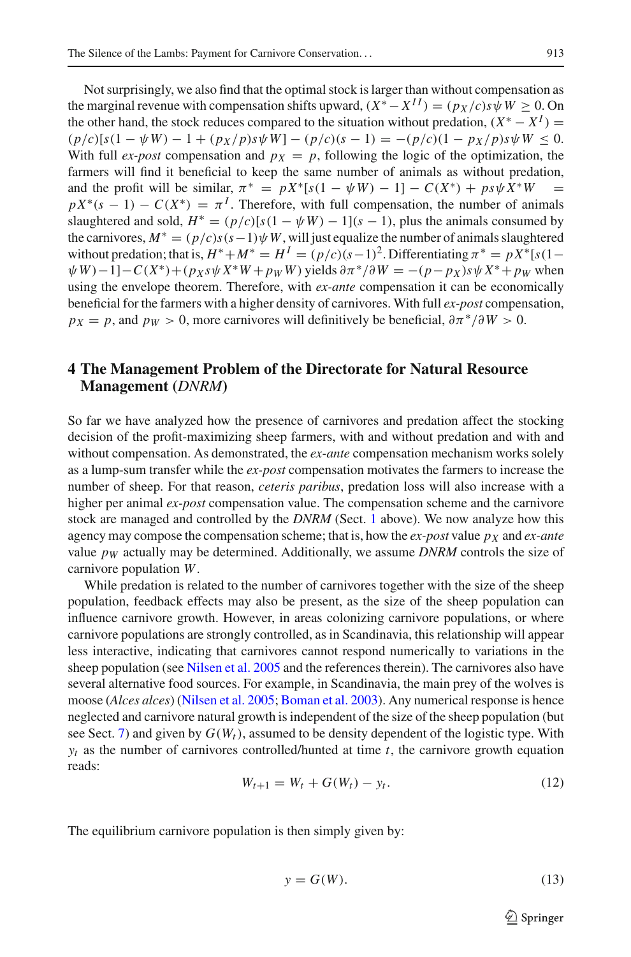Not surprisingly, we also find that the optimal stock is larger than without compensation as the marginal revenue with compensation shifts upward,  $(X^* – X^{II}) = (p_X/c)s\psi W \ge 0$ . On the other hand, the stock reduces compared to the situation without predation,  $(X^* - X^I) =$  $(p/c)[s(1 - \psi W) - 1 + (p_X/p)s\psi W] - (p/c)(s - 1) = -(p/c)(1 - p_X/p)s\psi W \le 0.$ With full *ex-post* compensation and  $p_X = p$ , following the logic of the optimization, the farmers will find it beneficial to keep the same number of animals as without predation, and the profit will be similar,  $\pi^* = pX^*[s(1 - \psi W) - 1] - C(X^*) + ps\psi X^*W =$  $pX^*(s-1) - C(X^*) = \pi^I$ . Therefore, with full compensation, the number of animals slaughtered and sold,  $H^* = (p/c)[s(1 - \psi W) - 1](s - 1)$ , plus the animals consumed by the carnivores,  $M^* = (p/c)s(s-1)\psi W$ , will just equalize the number of animals slaughtered without predation; that is,  $H^* + M^* = H^I = (p/c)(s-1)^2$ . Differentiating  $\pi^* = pX^*[s(1-\pi)\mathbb{I}]$  $\psi(W) - 1$ ]−*C*( $X^*$ )+( $p_X s \psi X^* W + p_W W$ ) yields  $\partial \pi^* / \partial W = -(p - p_X) s \psi X^* + p_W$  when using the envelope theorem. Therefore, with *ex-ante* compensation it can be economically beneficial for the farmers with a higher density of carnivores. With full *ex-post* compensation,  $p_X = p$ , and  $p_W > 0$ , more carnivores will definitively be beneficial,  $\partial \pi^* / \partial W > 0$ .

## <span id="page-8-0"></span>**4 The Management Problem of the Directorate for Natural Resource Management (***DNRM***)**

So far we have analyzed how the presence of carnivores and predation affect the stocking decision of the profit-maximizing sheep farmers, with and without predation and with and without compensation. As demonstrated, the *ex-ante* compensation mechanism works solely as a lump-sum transfer while the *ex-post* compensation motivates the farmers to increase the number of sheep. For that reason, *ceteris paribus*, predation loss will also increase with a higher per animal *ex-post* compensation value. The compensation scheme and the carnivore stock are managed and controlled by the *DNRM* (Sect. [1](#page-0-0) above). We now analyze how this agency may compose the compensation scheme; that is, how the  $ex\text{-}post$  value  $p<sub>X</sub>$  and  $ex\text{-}ante$ value *pW* actually may be determined. Additionally, we assume *DNRM* controls the size of carnivore population *W*.

While predation is related to the number of carnivores together with the size of the sheep population, feedback effects may also be present, as the size of the sheep population can influence carnivore growth. However, in areas colonizing carnivore populations, or where carnivore populations are strongly controlled, as in Scandinavia, this relationship will appear less interactive, indicating that carnivores cannot respond numerically to variations in the sheep population (see [Nilsen et al. 2005](#page-18-13) and the references therein). The carnivores also have several alternative food sources. For example, in Scandinavia, the main prey of the wolves is moose (*Alces alces*) [\(Nilsen et al. 2005](#page-18-13); [Boman et al. 2003](#page-17-4)). Any numerical response is hence neglected and carnivore natural growth is independent of the size of the sheep population (but see Sect. [7\)](#page-14-0) and given by  $G(W_t)$ , assumed to be density dependent of the logistic type. With  $y_t$  as the number of carnivores controlled/hunted at time  $t$ , the carnivore growth equation reads:

$$
W_{t+1} = W_t + G(W_t) - y_t.
$$
 (12)

The equilibrium carnivore population is then simply given by:

$$
y = G(W). \tag{13}
$$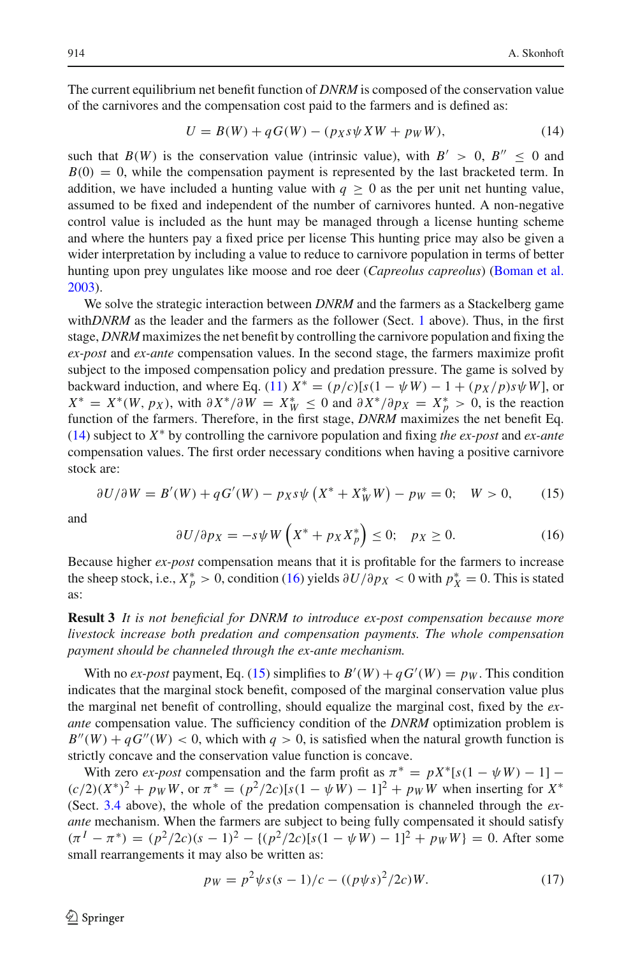The current equilibrium net benefit function of *DNRM* is composed of the conservation value of the carnivores and the compensation cost paid to the farmers and is defined as:

$$
U = B(W) + qG(W) - (p_X s \psi XW + p_W W),
$$
\n(14)

<span id="page-9-0"></span>such that  $B(W)$  is the conservation value (intrinsic value), with  $B' > 0$ ,  $B'' \le 0$  and  $B(0) = 0$ , while the compensation payment is represented by the last bracketed term. In addition, we have included a hunting value with  $q > 0$  as the per unit net hunting value, assumed to be fixed and independent of the number of carnivores hunted. A non-negative control value is included as the hunt may be managed through a license hunting scheme and where the hunters pay a fixed price per license This hunting price may also be given a wider interpretation by including a value to reduce to carnivore population in terms of better hunting upon prey ungulates like moose and roe deer (*Capreolus capreolus*) [\(Boman et al.](#page-17-4) [2003](#page-17-4)).

We solve the strategic interaction between *DNRM* and the farmers as a Stackelberg game with*DNRM* as the leader and the farmers as the follower (Sect. [1](#page-0-0) above). Thus, in the first stage, *DNRM* maximizes the net benefit by controlling the carnivore population and fixing the *ex-post* and *ex-ante* compensation values. In the second stage, the farmers maximize profit subject to the imposed compensation policy and predation pressure. The game is solved by backward induction, and where Eq. [\(11\)](#page-7-0)  $X^* = (p/c)[s(1 - \psi W) - 1 + (p_X/p)s\psi W]$ , or  $X^* = X^*(W, p_X)$ , with  $\partial X^*/\partial W = X^*_{W} \le 0$  and  $\partial X^*/\partial p_X = X^*_{p} > 0$ , is the reaction function of the farmers. Therefore, in the first stage, *DNRM* maximizes the net benefit Eq. [\(14\)](#page-9-0) subject to *X*∗ by controlling the carnivore population and fixing *the ex-post* and *ex-ante* compensation values. The first order necessary conditions when having a positive carnivore stock are:

$$
\partial U/\partial W = B'(W) + qG'(W) - p_X s \psi \left( X^* + X^*_{W} W \right) - p_W = 0; \quad W > 0, \tag{15}
$$

<span id="page-9-2"></span><span id="page-9-1"></span>and

$$
\partial U/\partial p_X = -s\psi W\left(X^* + p_X X_p^*\right) \le 0; \quad p_X \ge 0. \tag{16}
$$

Because higher *ex-post* compensation means that it is profitable for the farmers to increase the sheep stock, i.e.,  $X_p^* > 0$ , condition [\(16\)](#page-9-1) yields  $\partial U/\partial p_X < 0$  with  $p_X^* = 0$ . This is stated as:

**Result 3** *It is not beneficial for DNRM to introduce ex-post compensation because more livestock increase both predation and compensation payments. The whole compensation payment should be channeled through the ex-ante mechanism.*

With no *ex-post* payment, Eq. [\(15\)](#page-9-2) simplifies to  $B'(W) + qG'(W) = p_W$ . This condition indicates that the marginal stock benefit, composed of the marginal conservation value plus the marginal net benefit of controlling, should equalize the marginal cost, fixed by the *exante* compensation value. The sufficiency condition of the *DNRM* optimization problem is  $B''(W) + qG''(W) < 0$ , which with  $q > 0$ , is satisfied when the natural growth function is strictly concave and the conservation value function is concave.

With zero *ex-post* compensation and the farm profit as  $\pi^* = pX^*[s(1 - \psi W) - 1]$  –  $(c/2)(X^*)^2 + p_WW$ , or  $\pi^* = (p^2/2c)[s(1 - \psi W) - 1]^2 + p_WW$  when inserting for  $X^*$ (Sect. [3.4](#page-7-1) above), the whole of the predation compensation is channeled through the *exante* mechanism. When the farmers are subject to being fully compensated it should satisfy  $(\pi^I - \pi^*) = (p^2/2c)(s - 1)^2 - \{(p^2/2c)[s(1 - \psi W) - 1]^2 + pwW\} = 0.$  After some small rearrangements it may also be written as:

<span id="page-9-3"></span>
$$
p_W = p^2 \psi s (s - 1) / c - ((p \psi s)^2 / 2c) W.
$$
 (17)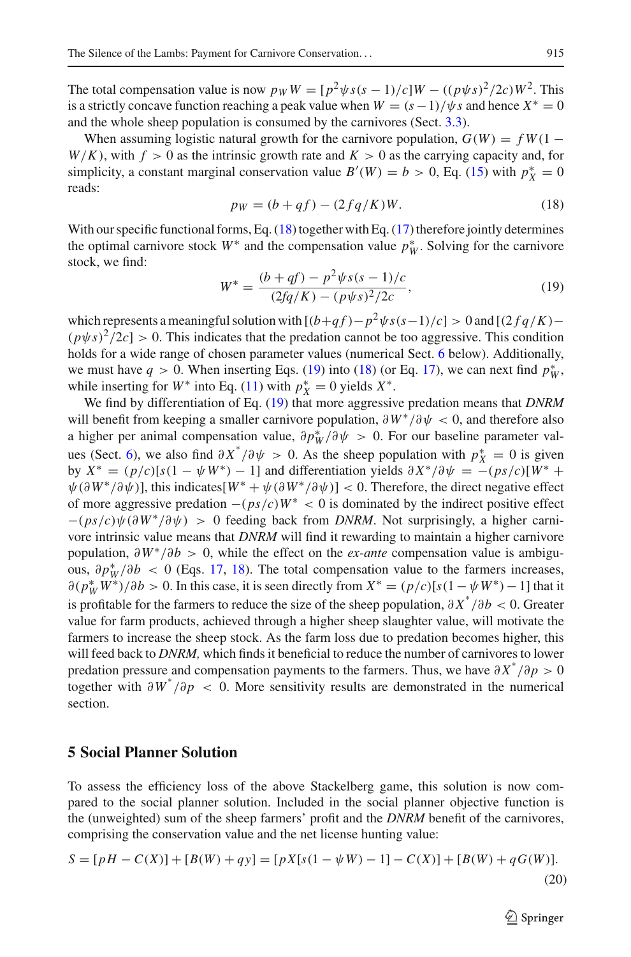The total compensation value is now  $p_W W = [p^2 \psi s (s-1)/c]W - ((p \psi s)^2/2c)W^2$ . This is a strictly concave function reaching a peak value when  $W = (s-1)/\psi s$  and hence  $X^* = 0$ and the whole sheep population is consumed by the carnivores (Sect. [3.3\)](#page-6-0).

When assuming logistic natural growth for the carnivore population,  $G(W) = fW(1 W/K$ ), with  $f > 0$  as the intrinsic growth rate and  $K > 0$  as the carrying capacity and, for simplicity, a constant marginal conservation value  $B'(W) = b > 0$ , Eq. [\(15\)](#page-9-2) with  $p_X^* = 0$ reads:

$$
p_W = (b + qf) - (2fq/K)W.
$$
 (18)

<span id="page-10-1"></span>With our specific functional forms, Eq. [\(18\)](#page-10-1) together with Eq. [\(17\)](#page-9-3) therefore jointly determines the optimal carnivore stock  $W^*$  and the compensation value  $p^*_{W}$ . Solving for the carnivore stock, we find:

$$
W^* = \frac{(b+qf) - p^2 \psi s (s-1)/c}{(2fq/K) - (p\psi s)^2/2c},\tag{19}
$$

<span id="page-10-2"></span>which represents a meaningful solution with  $[(b+q f) - p^2 \psi s(s-1)/c] > 0$  and  $[(2fq/K) (p\psi s)^2/2c$  > 0. This indicates that the predation cannot be too aggressive. This condition holds for a wide range of chosen parameter values (numerical Sect. [6](#page-12-0) below). Additionally, we must have  $q > 0$ . When inserting Eqs. [\(19\)](#page-10-2) into [\(18\)](#page-10-1) (or Eq. [17\)](#page-9-3), we can next find  $p_W^*$ , while inserting for *W*<sup>\*</sup> into Eq. [\(11\)](#page-7-0) with  $p_X^* = 0$  yields  $X^*$ .

We find by differentiation of Eq. [\(19\)](#page-10-2) that more aggressive predation means that *DNRM* will benefit from keeping a smaller carnivore population,  $\frac{\partial W^*}{\partial \psi} < 0$ , and therefore also a higher per animal compensation value,  $\partial p_W^*/\partial \psi > 0$ . For our baseline parameter val-ues (Sect. [6\)](#page-12-0), we also find  $\partial X^*/\partial \psi > 0$ . As the sheep population with  $p^* = 0$  is given by  $X^* = (p/c)[s(1 - \psi W^*) - 1]$  and differentiation yields  $\partial X^*/\partial \psi = -(ps/c)[W^* +$  $\psi(\partial W^*/\partial \psi)$ ], this indicates[ $W^* + \psi(\partial W^*/\partial \psi)$ ] < 0. Therefore, the direct negative effect of more aggressive predation  $-(ps/c)W^* < 0$  is dominated by the indirect positive effect −(*ps*/*c*)ψ(∂*W*∗/∂ψ) > 0 feeding back from *DNRM*. Not surprisingly, a higher carnivore intrinsic value means that *DNRM* will find it rewarding to maintain a higher carnivore population, ∂*W*∗/∂*b* > 0, while the effect on the *ex-ante* compensation value is ambiguous,  $\partial p_W^*/\partial b < 0$  (Eqs. [17,](#page-9-3) [18\)](#page-10-1). The total compensation value to the farmers increases,  $\partial (p_W^*W^*)/\partial b > 0$ . In this case, it is seen directly from  $X^* = (p/c)[s(1 - \psi W^*) - 1]$  that it is profitable for the farmers to reduce the size of the sheep population,  $\partial X^*/\partial b < 0$ . Greater value for farm products, achieved through a higher sheep slaughter value, will motivate the farmers to increase the sheep stock. As the farm loss due to predation becomes higher, this will feed back to *DNRM,* which finds it beneficial to reduce the number of carnivores to lower predation pressure and compensation payments to the farmers. Thus, we have  $\partial X^* / \partial p > 0$ together with ∂*W*<sup>∗</sup> /∂*p* < 0. More sensitivity results are demonstrated in the numerical section.

#### <span id="page-10-0"></span>**5 Social Planner Solution**

To assess the efficiency loss of the above Stackelberg game, this solution is now compared to the social planner solution. Included in the social planner objective function is the (unweighted) sum of the sheep farmers' profit and the *DNRM* benefit of the carnivores, comprising the conservation value and the net license hunting value:

$$
S = [pH - C(X)] + [B(W) + qy] = [pX[s(1 - \psi W) - 1] - C(X)] + [B(W) + qG(W)].
$$
\n(20)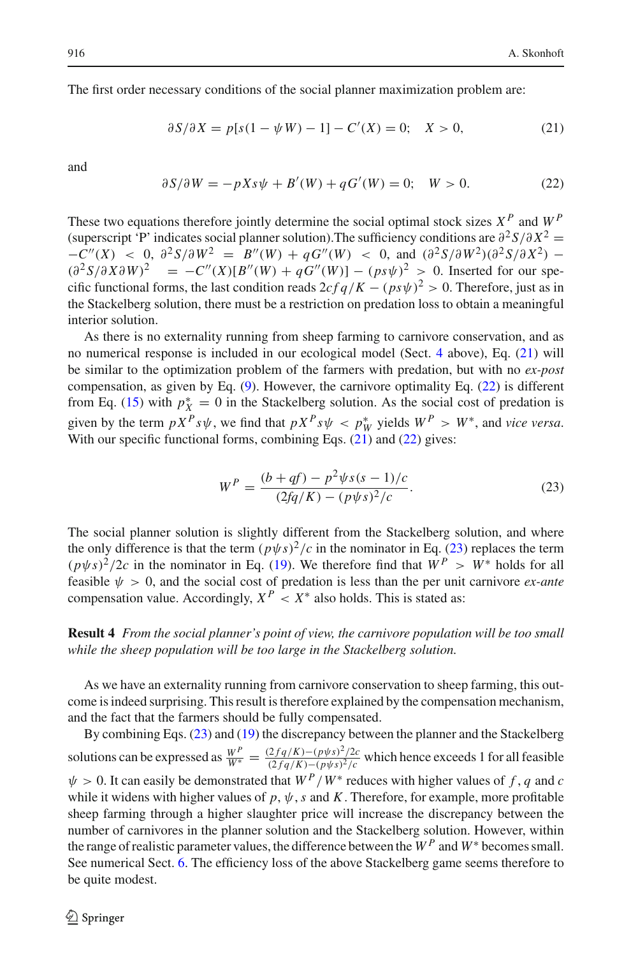<span id="page-11-0"></span>The first order necessary conditions of the social planner maximization problem are:

$$
\partial S/\partial X = p[s(1 - \psi W) - 1] - C'(X) = 0; \quad X > 0,
$$
\n(21)

<span id="page-11-1"></span>and

$$
\partial S/\partial W = -pXs\psi + B'(W) + qG'(W) = 0; \quad W > 0. \tag{22}
$$

These two equations therefore jointly determine the social optimal stock sizes  $X^P$  and  $W^P$ (superscript 'P' indicates social planner solution). The sufficiency conditions are  $\partial^2 S/\partial X^2 =$  $-C''(X)$  < 0,  $\partial^2 S/\partial W^2 = B''(W) + qG''(W)$  < 0, and  $(\partial^2 S/\partial W^2)(\partial^2 S/\partial X^2)$  −  $(\partial^2 S/\partial X \partial W)^2 = -C''(X)[B''(W) + qG''(W)] - (ps\psi)^2 > 0$ . Inserted for our specific functional forms, the last condition reads  $2cfq/K - (ps\psi)^2 > 0$ . Therefore, just as in the Stackelberg solution, there must be a restriction on predation loss to obtain a meaningful interior solution.

As there is no externality running from sheep farming to carnivore conservation, and as no numerical response is included in our ecological model (Sect. [4](#page-8-0) above), Eq. [\(21\)](#page-11-0) will be similar to the optimization problem of the farmers with predation, but with no *ex-post* compensation, as given by Eq. [\(9\)](#page-6-1). However, the carnivore optimality Eq. [\(22\)](#page-11-1) is different from Eq. [\(15\)](#page-9-2) with  $p_X^* = 0$  in the Stackelberg solution. As the social cost of predation is given by the term  $pX^P s\psi$ , we find that  $pX^P s\psi < p_W^*$  yields  $W^P > W^*$ , and *vice versa*. With our specific functional forms, combining Eqs. [\(21\)](#page-11-0) and [\(22\)](#page-11-1) gives:

$$
W^{P} = \frac{(b+qf) - p^{2}\psi s(s-1)/c}{(2fq/K) - (p\psi s)^{2}/c}.
$$
\n(23)

<span id="page-11-2"></span>The social planner solution is slightly different from the Stackelberg solution, and where the only difference is that the term  $(p \psi s)^2/c$  in the nominator in Eq. [\(23\)](#page-11-2) replaces the term  $(p\psi s)^2/2c$  in the nominator in Eq. [\(19\)](#page-10-2). We therefore find that  $W^P > W^*$  holds for all feasible  $\psi > 0$ , and the social cost of predation is less than the per unit carnivore *ex-ante* compensation value. Accordingly,  $X^P$  <  $X^*$  also holds. This is stated as:

**Result 4** *From the social planner's point of view, the carnivore population will be too small while the sheep population will be too large in the Stackelberg solution.*

As we have an externality running from carnivore conservation to sheep farming, this outcome is indeed surprising. This result is therefore explained by the compensation mechanism, and the fact that the farmers should be fully compensated.

By combining Eqs. [\(23\)](#page-11-2) and [\(19\)](#page-10-2) the discrepancy between the planner and the Stackelberg solutions can be expressed as  $\frac{W^P}{W^*} = \frac{(2fq/K)-(p\psi s)^2/2c}{(2fq/K)-(p\psi s)^2/c}$  which hence exceeds 1 for all feasible  $\psi > 0$ . It can easily be demonstrated that  $W^P/W^*$  reduces with higher values of f, q and c while it widens with higher values of  $p$ ,  $\psi$ ,  $s$  and  $K$ . Therefore, for example, more profitable sheep farming through a higher slaughter price will increase the discrepancy between the number of carnivores in the planner solution and the Stackelberg solution. However, within the range of realistic parameter values, the difference between the  $W^P$  and  $W^*$  becomes small. See numerical Sect. [6.](#page-12-0) The efficiency loss of the above Stackelberg game seems therefore to be quite modest.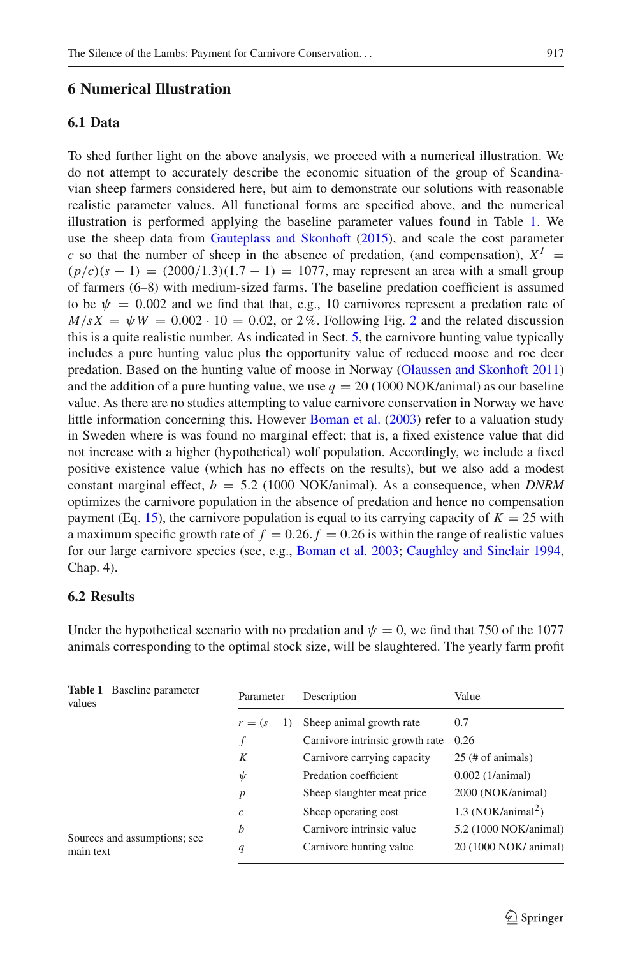### <span id="page-12-0"></span>**6 Numerical Illustration**

### **6.1 Data**

To shed further light on the above analysis, we proceed with a numerical illustration. We do not attempt to accurately describe the economic situation of the group of Scandinavian sheep farmers considered here, but aim to demonstrate our solutions with reasonable realistic parameter values. All functional forms are specified above, and the numerical illustration is performed applying the baseline parameter values found in Table [1.](#page-12-1) We use the sheep data from [Gauteplass and Skonhoft](#page-18-12) [\(2015\)](#page-18-12), and scale the cost parameter *c* so that the number of sheep in the absence of predation, (and compensation),  $X^I$  =  $(p/c)(s - 1) = (2000/1.3)(1.7 - 1) = 1077$ , may represent an area with a small group of farmers (6–8) with medium-sized farms. The baseline predation coefficient is assumed to be  $\psi = 0.002$  and we find that that, e.g., 10 carnivores represent a predation rate of  $M/sX = \psi W = 0.002 \cdot 10 = 0.02$  $M/sX = \psi W = 0.002 \cdot 10 = 0.02$  $M/sX = \psi W = 0.002 \cdot 10 = 0.02$ , or 2%. Following Fig. 2 and the related discussion this is a quite realistic number. As indicated in Sect. [5,](#page-10-0) the carnivore hunting value typically includes a pure hunting value plus the opportunity value of reduced moose and roe deer predation. Based on the hunting value of moose in Norway [\(Olaussen and Skonhoft 2011\)](#page-18-14) and the addition of a pure hunting value, we use  $q = 20 (1000 NOK/animal)$  as our baseline value. As there are no studies attempting to value carnivore conservation in Norway we have little information concerning this. However [Boman et al.](#page-17-4) [\(2003](#page-17-4)) refer to a valuation study in Sweden where is was found no marginal effect; that is, a fixed existence value that did not increase with a higher (hypothetical) wolf population. Accordingly, we include a fixed positive existence value (which has no effects on the results), but we also add a modest constant marginal effect, *b* = 5.2 (1000 NOK/animal). As a consequence, when *DNRM* optimizes the carnivore population in the absence of predation and hence no compensation payment (Eq. [15\)](#page-9-2), the carnivore population is equal to its carrying capacity of  $K = 25$  with a maximum specific growth rate of  $f = 0.26$ .  $f = 0.26$  is within the range of realistic values for our large carnivore species (see, e.g., [Boman et al. 2003;](#page-17-4) [Caughley and Sinclair 1994,](#page-17-5) Chap. 4).

#### **6.2 Results**

Under the hypothetical scenario with no predation and  $\psi = 0$ , we find that 750 of the 1077 animals corresponding to the optimal stock size, will be slaughtered. The yearly farm profit

<span id="page-12-1"></span>

| values    | <b>Table 1</b> Baseline parameter<br>Sources and assumptions; see | Parameter     | Description                            | Value                          |  |  |
|-----------|-------------------------------------------------------------------|---------------|----------------------------------------|--------------------------------|--|--|
|           |                                                                   |               | $r = (s - 1)$ Sheep animal growth rate | 0.7                            |  |  |
|           |                                                                   | f             | Carnivore intrinsic growth rate        | 0.26                           |  |  |
|           |                                                                   | K             | Carnivore carrying capacity            | $25$ (# of animals)            |  |  |
|           |                                                                   | $\psi$        | Predation coefficient                  | $0.002$ (1/animal)             |  |  |
| main text |                                                                   | p             | Sheep slaughter meat price             | 2000 (NOK/animal)              |  |  |
|           |                                                                   | $\mathcal{C}$ | Sheep operating cost                   | 1.3 (NOK/animal <sup>2</sup> ) |  |  |
|           |                                                                   | b             | Carnivore intrinsic value              | 5.2 (1000 NOK/animal)          |  |  |
|           |                                                                   | q             | Carnivore hunting value                | 20 (1000 NOK/ animal)          |  |  |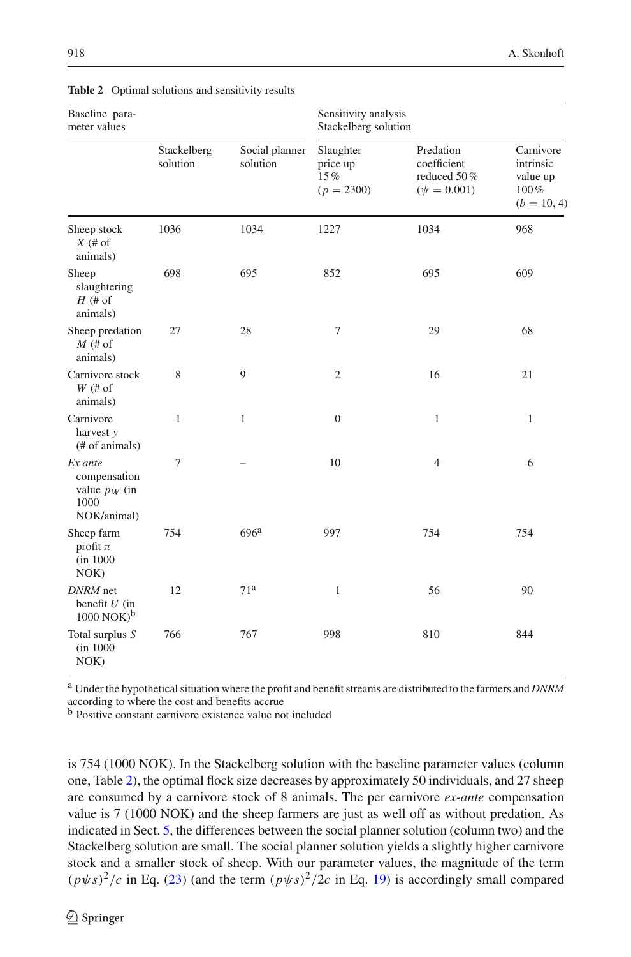<span id="page-13-0"></span>

| Baseline para-<br>meter values                                    |                         |                            | Sensitivity analysis<br>Stackelberg solution |                                                             |                                                             |
|-------------------------------------------------------------------|-------------------------|----------------------------|----------------------------------------------|-------------------------------------------------------------|-------------------------------------------------------------|
|                                                                   | Stackelberg<br>solution | Social planner<br>solution | Slaughter<br>price up<br>15%<br>$(p = 2300)$ | Predation<br>coefficient<br>reduced 50%<br>$(\psi = 0.001)$ | Carnivore<br>intrinsic<br>value up<br>100%<br>$(b = 10, 4)$ |
| Sheep stock<br>$X$ (# of<br>animals)                              | 1036                    | 1034                       | 1227                                         | 1034                                                        | 968                                                         |
| Sheep<br>slaughtering<br>$H$ (# of<br>animals)                    | 698                     | 695                        | 852                                          | 695                                                         | 609                                                         |
| Sheep predation<br>$M$ (# of<br>animals)                          | 27                      | 28                         | $\tau$                                       | 29                                                          | 68                                                          |
| Carnivore stock<br>$W$ (# of<br>animals)                          | 8                       | 9                          | $\mathfrak{2}$                               | 16                                                          | 21                                                          |
| Carnivore<br>harvest y<br>(# of animals)                          | $\mathbf{1}$            | 1                          | $\boldsymbol{0}$                             | $\mathbf{1}$                                                | $\mathbf{1}$                                                |
| Ex ante<br>compensation<br>value $p_W$ (in<br>1000<br>NOK/animal) | 7                       |                            | 10                                           | 4                                                           | 6                                                           |
| Sheep farm<br>profit $\pi$<br>(in 1000<br>NOK                     | 754                     | 696 <sup>a</sup>           | 997                                          | 754                                                         | 754                                                         |
| DNRM net<br>benefit $U$ (in<br>$1000 \text{ NOK}$ <sup>b</sup>    | 12                      | 71 <sup>a</sup>            | $\mathbf{1}$                                 | 56                                                          | 90                                                          |
| Total surplus $S$<br>(in 1000<br>NOK)                             | 766                     | 767                        | 998                                          | 810                                                         | 844                                                         |

**Table 2** Optimal solutions and sensitivity results

<sup>a</sup> Under the hypothetical situation where the profit and benefit streams are distributed to the farmers and *DNRM* according to where the cost and benefits accrue

<sup>b</sup> Positive constant carnivore existence value not included

is 754 (1000 NOK). In the Stackelberg solution with the baseline parameter values (column one, Table [2\)](#page-13-0), the optimal flock size decreases by approximately 50 individuals, and 27 sheep are consumed by a carnivore stock of 8 animals. The per carnivore *ex-ante* compensation value is 7 (1000 NOK) and the sheep farmers are just as well off as without predation. As indicated in Sect. [5,](#page-10-0) the differences between the social planner solution (column two) and the Stackelberg solution are small. The social planner solution yields a slightly higher carnivore stock and a smaller stock of sheep. With our parameter values, the magnitude of the term  $(p\psi s)^2/c$  in Eq. [\(23\)](#page-11-2) (and the term  $(p\psi s)^2/2c$  in Eq. [19\)](#page-10-2) is accordingly small compared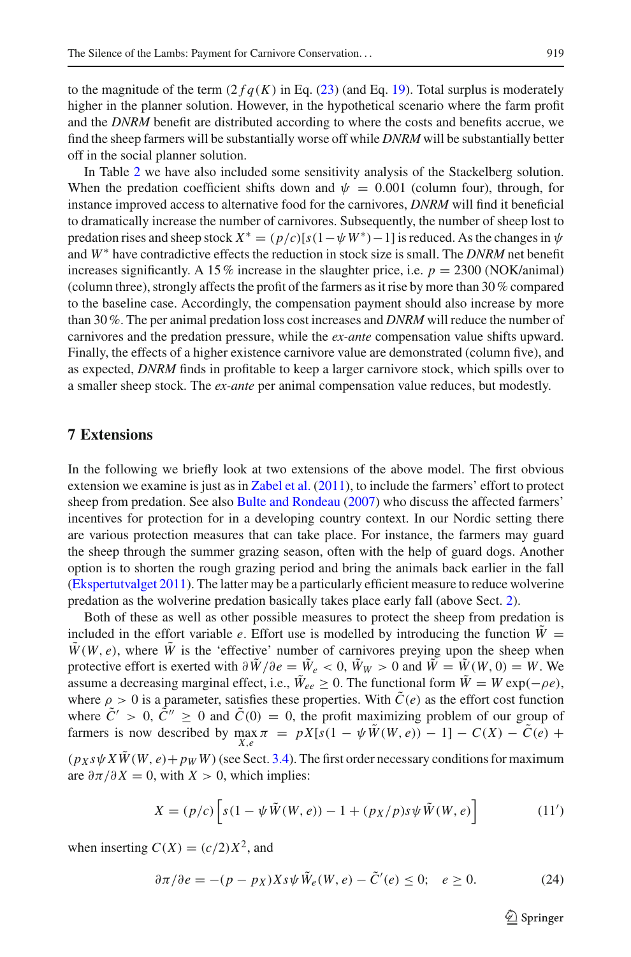to the magnitude of the term  $(2fq(K))$  in Eq. [\(23\)](#page-11-2) (and Eq. [19\)](#page-10-2). Total surplus is moderately higher in the planner solution. However, in the hypothetical scenario where the farm profit and the *DNRM* benefit are distributed according to where the costs and benefits accrue, we find the sheep farmers will be substantially worse off while *DNRM* will be substantially better off in the social planner solution.

In Table [2](#page-13-0) we have also included some sensitivity analysis of the Stackelberg solution. When the predation coefficient shifts down and  $\psi = 0.001$  (column four), through, for instance improved access to alternative food for the carnivores, *DNRM* will find it beneficial to dramatically increase the number of carnivores. Subsequently, the number of sheep lost to predation rises and sheep stock  $X^* = (p/c)[s(1 - \psi W^*) - 1]$  is reduced. As the changes in  $\psi$ and *W*∗ have contradictive effects the reduction in stock size is small. The *DNRM* net benefit increases significantly. A 15% increase in the slaughter price, i.e.  $p = 2300$  (NOK/animal) (column three), strongly affects the profit of the farmers as it rise by more than 30% compared to the baseline case. Accordingly, the compensation payment should also increase by more than 30%. The per animal predation loss cost increases and *DNRM* will reduce the number of carnivores and the predation pressure, while the *ex-ante* compensation value shifts upward. Finally, the effects of a higher existence carnivore value are demonstrated (column five), and as expected, *DNRM* finds in profitable to keep a larger carnivore stock, which spills over to a smaller sheep stock. The *ex-ante* per animal compensation value reduces, but modestly.

### <span id="page-14-0"></span>**7 Extensions**

In the following we briefly look at two extensions of the above model. The first obvious extension we examine is just as in [Zabel et al.](#page-18-2) [\(2011\)](#page-18-2), to include the farmers' effort to protect sheep from predation. See also [Bulte and Rondeau](#page-17-6) [\(2007\)](#page-17-6) who discuss the affected farmers' incentives for protection for in a developing country context. In our Nordic setting there are various protection measures that can take place. For instance, the farmers may guard the sheep through the summer grazing season, often with the help of guard dogs. Another option is to shorten the rough grazing period and bring the animals back earlier in the fall [\(Ekspertutvalget 2011](#page-17-0)). The latter may be a particularly efficient measure to reduce wolverine predation as the wolverine predation basically takes place early fall (above Sect. [2\)](#page-2-0).

Both of these as well as other possible measures to protect the sheep from predation is included in the effort variable *e*. Effort use is modelled by introducing the function  $\tilde{W}$  =  $\tilde{W}(W, e)$ , where  $\tilde{W}$  is the 'effective' number of carnivores preying upon the sheep when protective effort is exerted with  $\partial \tilde{W}/\partial e = \tilde{W}_e < 0$ ,  $\tilde{W}_W > 0$  and  $\tilde{W} = \tilde{W}(W, 0) = W$ . We assume a decreasing marginal effect, i.e.,  $\tilde{W}_{ee} \ge 0$ . The functional form  $\tilde{W} = W \exp(-\rho e)$ , where  $\rho > 0$  is a parameter, satisfies these properties. With  $\tilde{C}(e)$  as the effort cost function where  $\tilde{C}' > 0$ ,  $\tilde{C}'' \ge 0$  and  $\tilde{C}(0) = 0$ , the profit maximizing problem of our group of farmers is now described by  $\max_{x} \pi = pX[s(1 - \psi \tilde{W}(W, e)) - 1] - C(X) - \tilde{C}(e) +$ 

 $(p_X s \psi X W(W, e) + p_W W)$  (see Sect. [3.4\)](#page-7-1). The first order necessary conditions for maximum are  $\partial \pi / \partial X = 0$ , with *X* > 0, which implies:

$$
X = (p/c) \left[ s(1 - \psi \tilde{W}(W, e)) - 1 + (p_X/p)s\psi \tilde{W}(W, e) \right]
$$
 (11')

<span id="page-14-1"></span>when inserting  $C(X) = (c/2)X^2$ , and

$$
\partial \pi / \partial e = -(p - p_X) X s \psi \tilde{W}_e(W, e) - \tilde{C}'(e) \le 0; \quad e \ge 0. \tag{24}
$$

 $\circled{2}$  Springer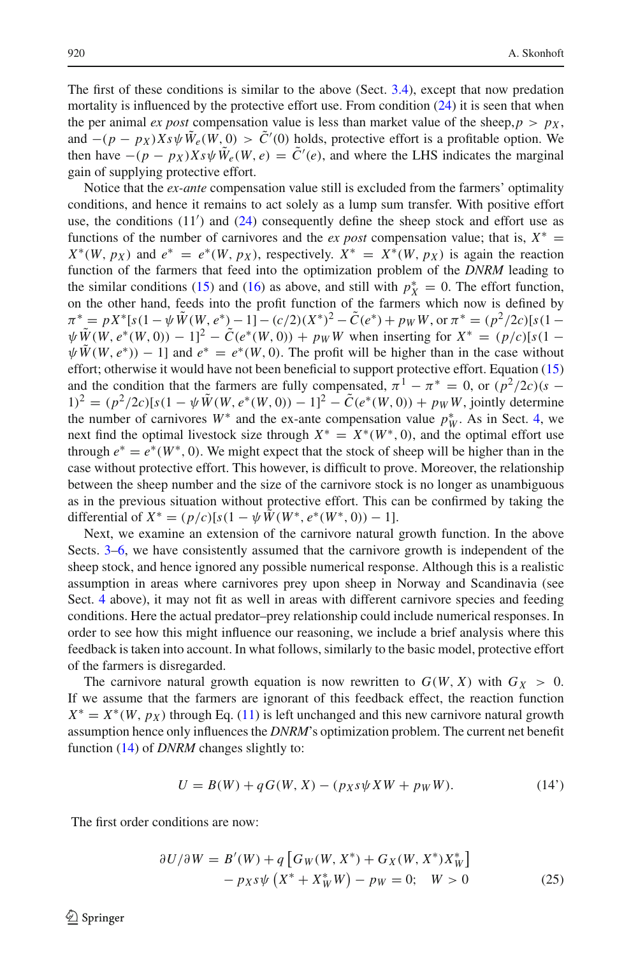The first of these conditions is similar to the above (Sect. [3.4\)](#page-7-1), except that now predation mortality is influenced by the protective effort use. From condition [\(24\)](#page-14-1) it is seen that when the per animal *ex post* compensation value is less than market value of the sheep,  $p > p_X$ , and  $-(p - p_X)Xs\psi W_e(W, 0) > C'(0)$  holds, protective effort is a profitable option. We then have  $-(p - px)Xs\psi W_e(W, e) = C'(e)$ , and where the LHS indicates the marginal gain of supplying protective effort.

Notice that the *ex-ante* compensation value still is excluded from the farmers' optimality conditions, and hence it remains to act solely as a lump sum transfer. With positive effort use, the conditions (11 ) and [\(24\)](#page-14-1) consequently define the sheep stock and effort use as functions of the number of carnivores and the *ex post* compensation value; that is,  $X^* =$  $X^*(W, p_X)$  and  $e^* = e^*(W, p_X)$ , respectively.  $X^* = X^*(W, p_X)$  is again the reaction function of the farmers that feed into the optimization problem of the *DNRM* leading to the similar conditions [\(15\)](#page-9-2) and [\(16\)](#page-9-1) as above, and still with  $p_X^* = 0$ . The effort function, on the other hand, feeds into the profit function of the farmers which now is defined by  $\pi^* = pX^* [s(1 - \psi \tilde{W}(W, e^*) - 1] - (c/2)(X^*)^2 - \tilde{C}(e^*) + p_W W$ , or  $\pi^* = (p^2/2c)[s(1 - \psi \tilde{W}(W, e^*)) - 1]$  $\psi \tilde{W}(W, e^*(W, 0)) - 1]^2 - \tilde{C}(e^*(W, 0)) + p_WW$  when inserting for  $X^* = (p/c)[s(1 \psi \tilde{W}(W, e^*)$  – 1] and  $e^* = e^*(W, 0)$ . The profit will be higher than in the case without effort; otherwise it would have not been beneficial to support protective effort. Equation [\(15\)](#page-9-2) and the condition that the farmers are fully compensated,  $\pi^1 - \pi^* = 0$ , or  $(p^2/2c)(s 1)^2 = (p^2/2c)[s(1 - \psi \tilde{W}(W, e^*(W, 0)) - 1]^2 - \tilde{C}(e^*(W, 0)) + p_WW$ , jointly determine the number of carnivores  $W^*$  and the ex-ante compensation value  $p^*_{W}$ . As in Sect. [4,](#page-8-0) we next find the optimal livestock size through  $X^* = X^*(W^*, 0)$ , and the optimal effort use through  $e^* = e^*(W^*, 0)$ . We might expect that the stock of sheep will be higher than in the case without protective effort. This however, is difficult to prove. Moreover, the relationship between the sheep number and the size of the carnivore stock is no longer as unambiguous as in the previous situation without protective effort. This can be confirmed by taking the differential of  $X^* = (p/c)[s(1 - \psi \tilde{W}(W^*, e^*(W^*, 0)) - 1].$ 

Next, we examine an extension of the carnivore natural growth function. In the above Sects. [3](#page-5-0)[–6,](#page-12-0) we have consistently assumed that the carnivore growth is independent of the sheep stock, and hence ignored any possible numerical response. Although this is a realistic assumption in areas where carnivores prey upon sheep in Norway and Scandinavia (see Sect. [4](#page-8-0) above), it may not fit as well in areas with different carnivore species and feeding conditions. Here the actual predator–prey relationship could include numerical responses. In order to see how this might influence our reasoning, we include a brief analysis where this feedback is taken into account. In what follows, similarly to the basic model, protective effort of the farmers is disregarded.

The carnivore natural growth equation is now rewritten to  $G(W, X)$  with  $G_X > 0$ . If we assume that the farmers are ignorant of this feedback effect, the reaction function  $X^* = X^*(W, p_X)$  through Eq. [\(11\)](#page-7-0) is left unchanged and this new carnivore natural growth assumption hence only influences the *DNRM*'s optimization problem. The current net benefit function [\(14\)](#page-9-0) of *DNRM* changes slightly to:

$$
U = B(W) + qG(W, X) - (p_X s \psi XW + p_W W). \tag{14'}
$$

<span id="page-15-0"></span>The first order conditions are now:

$$
\partial U/\partial W = B'(W) + q \left[ G_W(W, X^*) + G_X(W, X^*) X_W^* \right] - p_X s \psi \left( X^* + X_W^* W \right) - p_W = 0; \quad W > 0
$$
\n(25)

 $\mathcal{L}$  Springer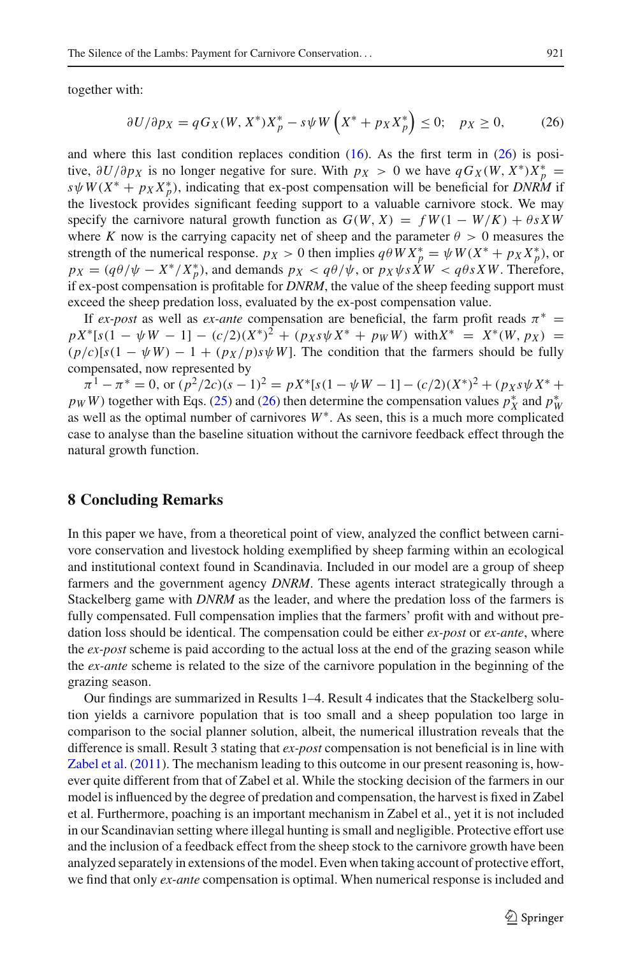<span id="page-16-1"></span>together with:

$$
\partial U/\partial p_X = qG_X(W, X^*)X_p^* - s\psi W\left(X^* + p_X X_p^*\right) \le 0; \quad p_X \ge 0,
$$
 (26)

and where this last condition replaces condition  $(16)$ . As the first term in  $(26)$  is positive,  $\partial U/\partial p_X$  is no longer negative for sure. With  $p_X > 0$  we have  $qG_X(W, X^*)X_p^* =$  $s\psi W(X^* + p_X X_p^*)$ , indicating that ex-post compensation will be beneficial for *DNRM* if the livestock provides significant feeding support to a valuable carnivore stock. We may specify the carnivore natural growth function as  $G(W, X) = fW(1 - W/K) + \theta sXW$ where *K* now is the carrying capacity net of sheep and the parameter  $\theta > 0$  measures the strength of the numerical response.  $p_X > 0$  then implies  $q \theta W X_p^* = \psi W(X^* + p_X X_p^*)$ , or  $p_X = (q\theta/\psi - X^*/X_p^*)$ , and demands  $p_X < q\theta/\psi$ , or  $p_X \psi sXW < q\theta sXW$ . Therefore, if ex-post compensation is profitable for *DNRM*, the value of the sheep feeding support must exceed the sheep predation loss, evaluated by the ex-post compensation value.

If *ex-post* as well as *ex-ante* compensation are beneficial, the farm profit reads  $\pi^*$  =  $pX^*[s(1 - \psi W - 1] - (c/2)(X^*)^2 + (p_X s \psi X^* + p_W W)$  with  $X^* = X^*(W, p_X) =$  $(p/c)[s(1 - \psi W) - 1 + (p_X/p)s\psi W]$ . The condition that the farmers should be fully compensated, now represented by

 $\pi^{1} - \pi^{*} = 0$ , or  $(p^{2}/2c)(s-1)^{2} = pX^{*}[s(1 - \psi W - 1] - (c/2)(X^{*})^{2} + (p_{X}s\psi X^{*} +$  $p_W$  *W*) together with Eqs. [\(25\)](#page-15-0) and [\(26\)](#page-16-1) then determine the compensation values  $p_X^*$  and  $p_W^*$ as well as the optimal number of carnivores *W*∗. As seen, this is a much more complicated case to analyse than the baseline situation without the carnivore feedback effect through the natural growth function.

#### <span id="page-16-0"></span>**8 Concluding Remarks**

In this paper we have, from a theoretical point of view, analyzed the conflict between carnivore conservation and livestock holding exemplified by sheep farming within an ecological and institutional context found in Scandinavia. Included in our model are a group of sheep farmers and the government agency *DNRM*. These agents interact strategically through a Stackelberg game with *DNRM* as the leader, and where the predation loss of the farmers is fully compensated. Full compensation implies that the farmers' profit with and without predation loss should be identical. The compensation could be either *ex-post* or *ex-ante*, where the *ex-post* scheme is paid according to the actual loss at the end of the grazing season while the *ex-ante* scheme is related to the size of the carnivore population in the beginning of the grazing season.

Our findings are summarized in Results 1–4. Result 4 indicates that the Stackelberg solution yields a carnivore population that is too small and a sheep population too large in comparison to the social planner solution, albeit, the numerical illustration reveals that the difference is small. Result 3 stating that *ex-post* compensation is not beneficial is in line with [Zabel et al.](#page-18-2) [\(2011\)](#page-18-2). The mechanism leading to this outcome in our present reasoning is, however quite different from that of Zabel et al. While the stocking decision of the farmers in our model is influenced by the degree of predation and compensation, the harvest is fixed in Zabel et al. Furthermore, poaching is an important mechanism in Zabel et al., yet it is not included in our Scandinavian setting where illegal hunting is small and negligible. Protective effort use and the inclusion of a feedback effect from the sheep stock to the carnivore growth have been analyzed separately in extensions of the model. Even when taking account of protective effort, we find that only *ex-ante* compensation is optimal. When numerical response is included and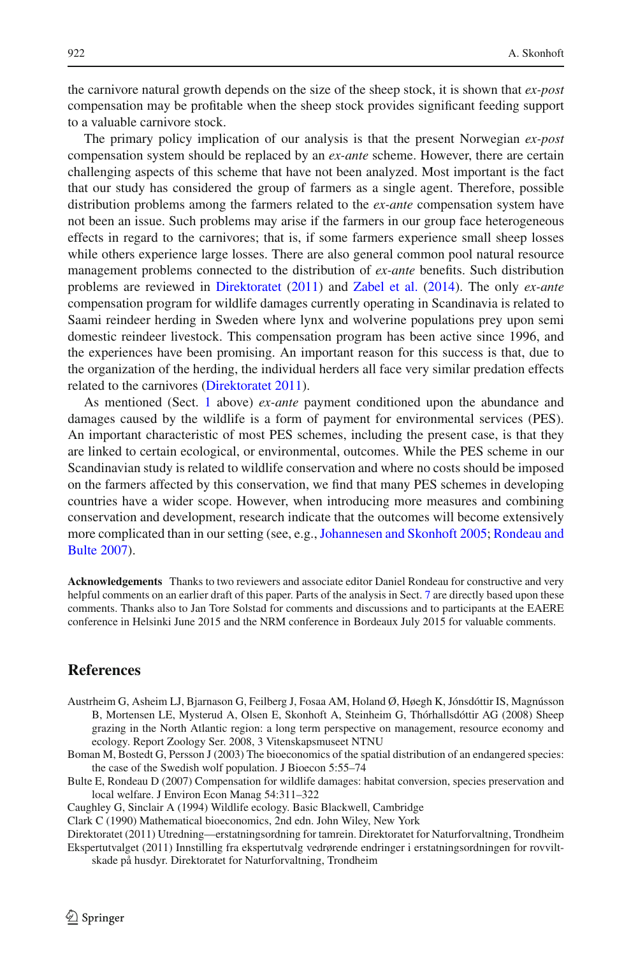the carnivore natural growth depends on the size of the sheep stock, it is shown that *ex-post* compensation may be profitable when the sheep stock provides significant feeding support to a valuable carnivore stock.

The primary policy implication of our analysis is that the present Norwegian *ex-post* compensation system should be replaced by an *ex-ante* scheme. However, there are certain challenging aspects of this scheme that have not been analyzed. Most important is the fact that our study has considered the group of farmers as a single agent. Therefore, possible distribution problems among the farmers related to the *ex-ante* compensation system have not been an issue. Such problems may arise if the farmers in our group face heterogeneous effects in regard to the carnivores; that is, if some farmers experience small sheep losses while others experience large losses. There are also general common pool natural resource management problems connected to the distribution of *ex-ante* benefits. Such distribution problems are reviewed in [Direktoratet](#page-17-1) [\(2011](#page-17-1)) and [Zabel et al.](#page-18-3) [\(2014](#page-18-3)). The only *ex-ante* compensation program for wildlife damages currently operating in Scandinavia is related to Saami reindeer herding in Sweden where lynx and wolverine populations prey upon semi domestic reindeer livestock. This compensation program has been active since 1996, and the experiences have been promising. An important reason for this success is that, due to the organization of the herding, the individual herders all face very similar predation effects related to the carnivores [\(Direktoratet 2011\)](#page-17-1).

As mentioned (Sect. [1](#page-0-0) above) *ex-ante* payment conditioned upon the abundance and damages caused by the wildlife is a form of payment for environmental services (PES). An important characteristic of most PES schemes, including the present case, is that they are linked to certain ecological, or environmental, outcomes. While the PES scheme in our Scandinavian study is related to wildlife conservation and where no costs should be imposed on the farmers affected by this conservation, we find that many PES schemes in developing countries have a wider scope. However, when introducing more measures and combining conservation and development, research indicate that the outcomes will become extensively more [complicated](#page-18-6) [than](#page-18-6) [in](#page-18-6) [our](#page-18-6) [setting](#page-18-6) [\(see,](#page-18-6) [e.g.,](#page-18-6) [Johannesen and Skonhoft 2005](#page-18-11); Rondeau and Bulte [2007](#page-18-6)).

**Acknowledgements** Thanks to two reviewers and associate editor Daniel Rondeau for constructive and very helpful comments on an earlier draft of this paper. Parts of the analysis in Sect. [7](#page-14-0) are directly based upon these comments. Thanks also to Jan Tore Solstad for comments and discussions and to participants at the EAERE conference in Helsinki June 2015 and the NRM conference in Bordeaux July 2015 for valuable comments.

## **References**

- <span id="page-17-2"></span>Austrheim G, Asheim LJ, Bjarnason G, Feilberg J, Fosaa AM, Holand Ø, Høegh K, Jónsdóttir IS, Magnússon B, Mortensen LE, Mysterud A, Olsen E, Skonhoft A, Steinheim G, Thórhallsdóttir AG (2008) Sheep grazing in the North Atlantic region: a long term perspective on management, resource economy and ecology. Report Zoology Ser. 2008, 3 Vitenskapsmuseet NTNU
- <span id="page-17-4"></span>Boman M, Bostedt G, Persson J (2003) The bioeconomics of the spatial distribution of an endangered species: the case of the Swedish wolf population. J Bioecon 5:55–74
- <span id="page-17-6"></span>Bulte E, Rondeau D (2007) Compensation for wildlife damages: habitat conversion, species preservation and local welfare. J Environ Econ Manag 54:311–322

<span id="page-17-5"></span>Caughley G, Sinclair A (1994) Wildlife ecology. Basic Blackwell, Cambridge

<span id="page-17-3"></span>Clark C (1990) Mathematical bioeconomics, 2nd edn. John Wiley, New York

<span id="page-17-1"></span><span id="page-17-0"></span>Direktoratet (2011) Utredning—erstatningsordning for tamrein. Direktoratet for Naturforvaltning, Trondheim Ekspertutvalget (2011) Innstilling fra ekspertutvalg vedrørende endringer i erstatningsordningen for rovviltskade på husdyr. Direktoratet for Naturforvaltning, Trondheim